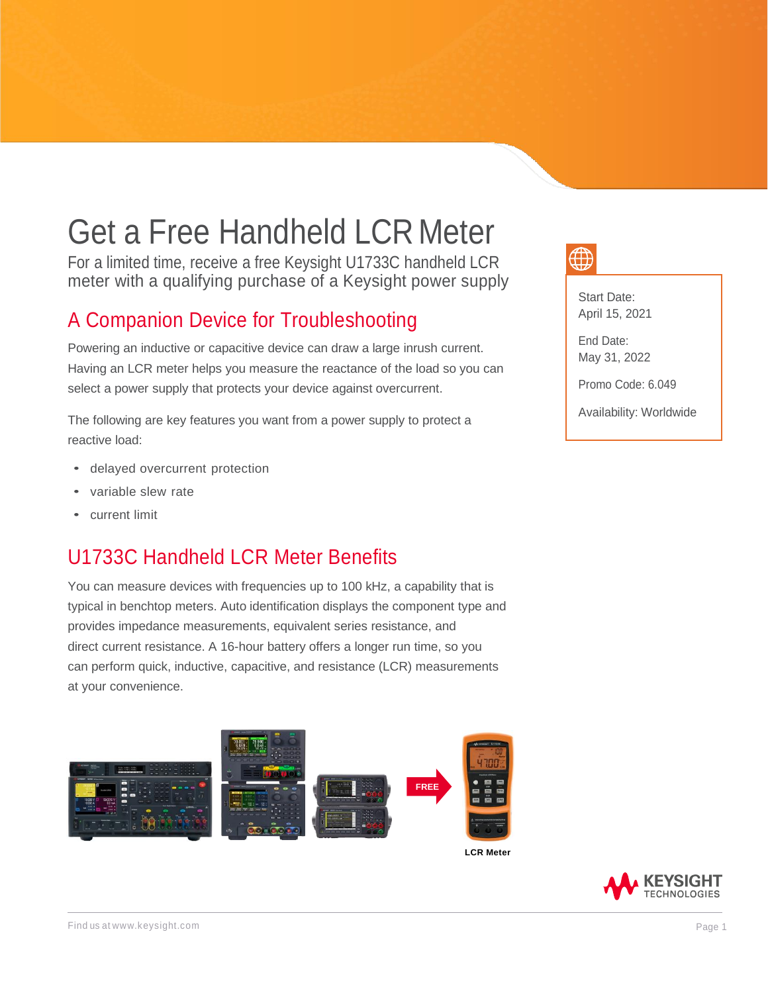# Get a Free Handheld LCR Meter

For a limited time, receive a free Keysight U1733C handheld LCR meter with a qualifying purchase of a Keysight power supply

### A Companion Device for Troubleshooting

Powering an inductive or capacitive device can draw a large inrush current. Having an LCR meter helps you measure the reactance of the load so you can select a power supply that protects your device against overcurrent.

The following are key features you want from a power supply to protect a reactive load:

- delayed overcurrent protection
- variable slew rate
- current limit

## U1733C Handheld LCR Meter Benefits

You can measure devices with frequencies up to 100 kHz, a capability that is typical in benchtop meters. Auto identification displays the component type and provides impedance measurements, equivalent series resistance, and direct current resistance. A 16-hour battery offers a longer run time, so you can perform quick, inductive, capacitive, and resistance (LCR) measurements at your convenience.



Start Date: April 15, 2021

End Date: May 31, 2022

Promo Code: 6.049

Availability: Worldwide

**KEYSIGHT TECHNOLOGIES**